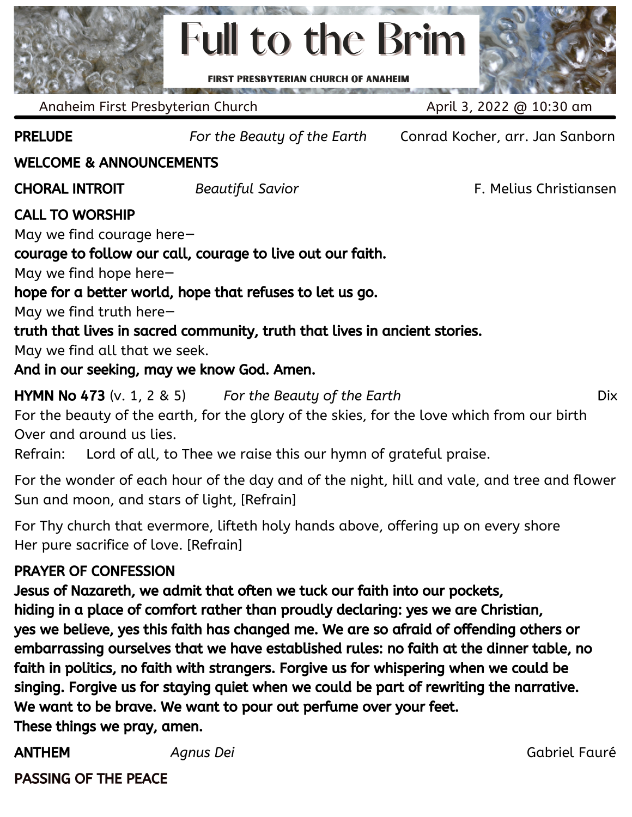

Anaheim First Presbyterian Church April 3, 2022 @ 10:30 am

PRELUDE *For the Beauty of the Earth* Conrad Kocher, arr. Jan Sanborn

#### WELCOME & ANNOUNCEMENTS

CHORAL INTROIT *Beautiful Savior* F. Melius Christiansen

### CALL TO WORSHIP

May we find courage here—

courage to follow our call, courage to live out our faith.

May we find hope here—

hope for a better world, hope that refuses to let us go.

May we find truth here—

truth that lives in sacred community, truth that lives in ancient stories.

May we find all that we seek.

And in our seeking, may we know God. Amen.

HYMN No 473 (v. 1, 2 & 5) *For the Beauty of the Earth* Dix For the beauty of the earth, for the glory of the skies, for the love which from our birth Over and around us lies.

Refrain: Lord of all, to Thee we raise this our hymn of grateful praise.

For the wonder of each hour of the day and of the night, hill and vale, and tree and flower Sun and moon, and stars of light, [Refrain]

For Thy church that evermore, lifteth holy hands above, offering up on every shore Her pure sacrifice of love. [Refrain]

### PRAYER OF CONFESSION

Jesus of Nazareth, we admit that often we tuck our faith into our pockets, hiding in a place of comfort rather than proudly declaring: yes we are Christian, yes we believe, yes this faith has changed me. We are so afraid of offending others or embarrassing ourselves that we have established rules: no faith at the dinner table, no faith in politics, no faith with strangers. Forgive us for whispering when we could be singing. Forgive us for staying quiet when we could be part of rewriting the narrative. We want to be brave. We want to pour out perfume over your feet. These things we pray, amen.

ANTHEM *Agnus Dei* Gabriel Fauré

PASSING OF THE PEACE